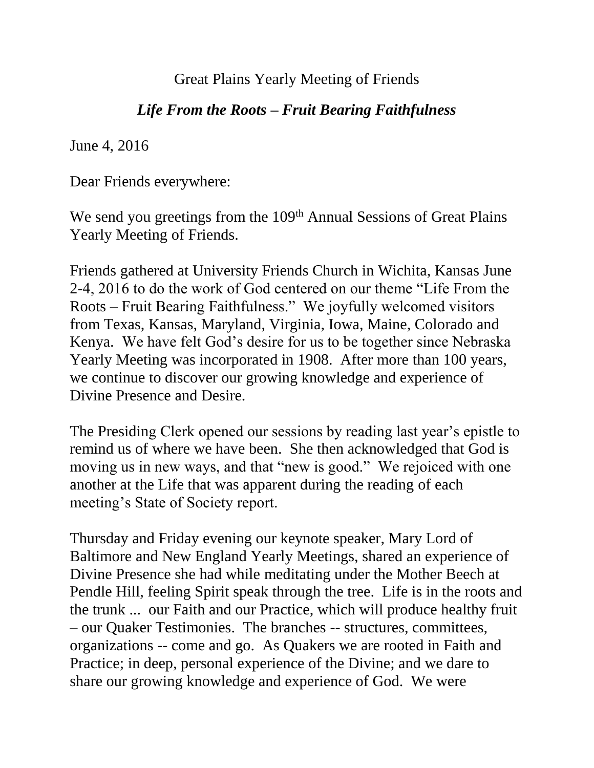Great Plains Yearly Meeting of Friends

## *Life From the Roots – Fruit Bearing Faithfulness*

June 4, 2016

Dear Friends everywhere:

We send you greetings from the 109<sup>th</sup> Annual Sessions of Great Plains Yearly Meeting of Friends.

Friends gathered at University Friends Church in Wichita, Kansas June 2-4, 2016 to do the work of God centered on our theme "Life From the Roots – Fruit Bearing Faithfulness." We joyfully welcomed visitors from Texas, Kansas, Maryland, Virginia, Iowa, Maine, Colorado and Kenya. We have felt God's desire for us to be together since Nebraska Yearly Meeting was incorporated in 1908. After more than 100 years, we continue to discover our growing knowledge and experience of Divine Presence and Desire.

The Presiding Clerk opened our sessions by reading last year's epistle to remind us of where we have been. She then acknowledged that God is moving us in new ways, and that "new is good." We rejoiced with one another at the Life that was apparent during the reading of each meeting's State of Society report.

Thursday and Friday evening our keynote speaker, Mary Lord of Baltimore and New England Yearly Meetings, shared an experience of Divine Presence she had while meditating under the Mother Beech at Pendle Hill, feeling Spirit speak through the tree. Life is in the roots and the trunk ... our Faith and our Practice, which will produce healthy fruit – our Quaker Testimonies. The branches -- structures, committees, organizations -- come and go. As Quakers we are rooted in Faith and Practice; in deep, personal experience of the Divine; and we dare to share our growing knowledge and experience of God. We were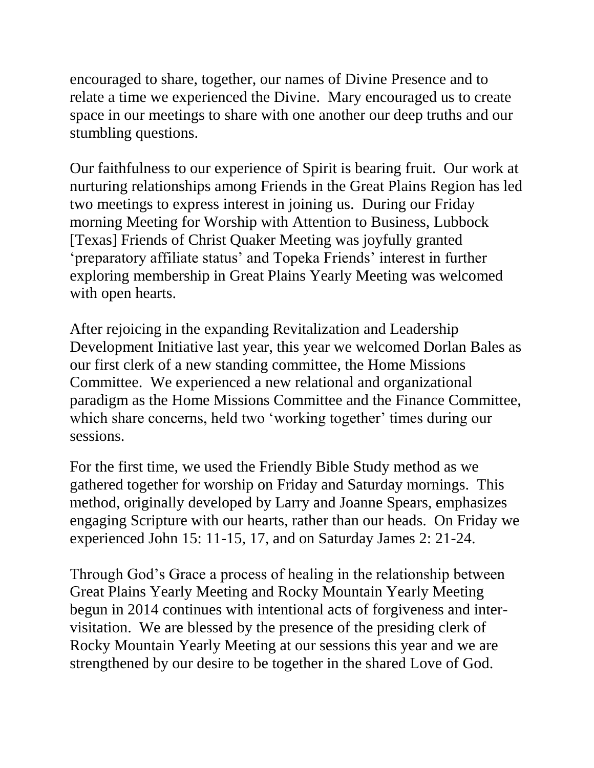encouraged to share, together, our names of Divine Presence and to relate a time we experienced the Divine. Mary encouraged us to create space in our meetings to share with one another our deep truths and our stumbling questions.

Our faithfulness to our experience of Spirit is bearing fruit. Our work at nurturing relationships among Friends in the Great Plains Region has led two meetings to express interest in joining us. During our Friday morning Meeting for Worship with Attention to Business, Lubbock [Texas] Friends of Christ Quaker Meeting was joyfully granted 'preparatory affiliate status' and Topeka Friends' interest in further exploring membership in Great Plains Yearly Meeting was welcomed with open hearts.

After rejoicing in the expanding Revitalization and Leadership Development Initiative last year, this year we welcomed Dorlan Bales as our first clerk of a new standing committee, the Home Missions Committee. We experienced a new relational and organizational paradigm as the Home Missions Committee and the Finance Committee, which share concerns, held two 'working together' times during our sessions.

For the first time, we used the Friendly Bible Study method as we gathered together for worship on Friday and Saturday mornings. This method, originally developed by Larry and Joanne Spears, emphasizes engaging Scripture with our hearts, rather than our heads. On Friday we experienced John 15: 11-15, 17, and on Saturday James 2: 21-24.

Through God's Grace a process of healing in the relationship between Great Plains Yearly Meeting and Rocky Mountain Yearly Meeting begun in 2014 continues with intentional acts of forgiveness and intervisitation. We are blessed by the presence of the presiding clerk of Rocky Mountain Yearly Meeting at our sessions this year and we are strengthened by our desire to be together in the shared Love of God.